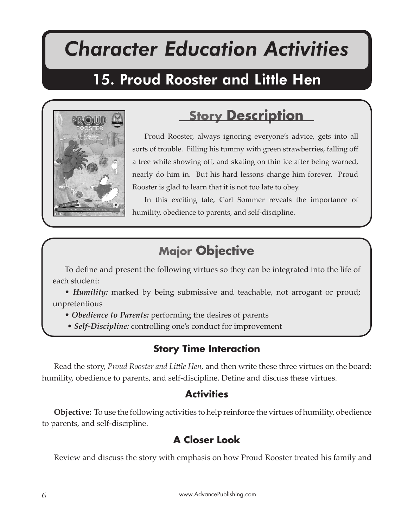# *Character Education Activities*

Proud Rooster and Little Hen

## 15. Proud Rooster and Little Hen



## **Story Description**

Proud Rooster, always ignoring everyone's advice, gets into all sorts of trouble. Filling his tummy with green strawberries, falling off a tree while showing off, and skating on thin ice after being warned, nearly do him in. But his hard lessons change him forever. Proud Rooster is glad to learn that it is not too late to obey.

In this exciting tale, Carl Sommer reveals the importance of humility, obedience to parents, and self-discipline.

## **Major Objective**

To define and present the following virtues so they can be integrated into the life of each student:

• *Humility:* marked by being submissive and teachable, not arrogant or proud; unpretentious

- *Obedience to Parents:* performing the desires of parents
- *Self-Discipline:* controlling one's conduct for improvement

#### **Story Time Interaction**

Read the story, *Proud Rooster and Little Hen*, and then write these three virtues on the board: humility, obedience to parents, and self-discipline. Define and discuss these virtues.

#### **Activities**

**Objective:** To use the following activities to help reinforce the virtues of humility, obedience to parents, and self-discipline.

#### **A Closer Look**

Review and discuss the story with emphasis on how Proud Rooster treated his family and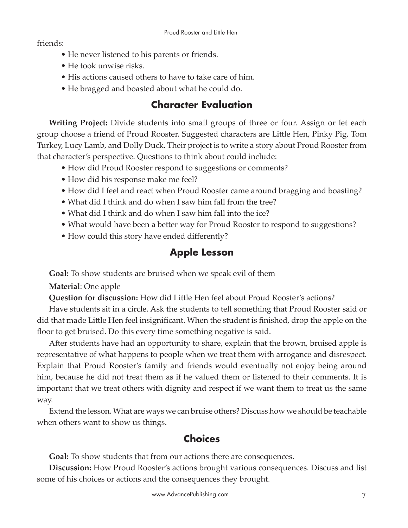friends:

- He never listened to his parents or friends.
- He took unwise risks.
- His actions caused others to have to take care of him.
- He bragged and boasted about what he could do.

### **Character Evaluation**

**Writing Project:** Divide students into small groups of three or four. Assign or let each group choose a friend of Proud Rooster. Suggested characters are Li�le Hen, Pinky Pig, Tom Turkey, Lucy Lamb, and Dolly Duck. Their project is to write a story about Proud Rooster from that character's perspective. Questions to think about could include:

- How did Proud Rooster respond to suggestions or comments?
- How did his response make me feel?
- How did I feel and react when Proud Rooster came around bragging and boasting?
- What did I think and do when I saw him fall from the tree?
- What did I think and do when I saw him fall into the ice?
- What would have been a better way for Proud Rooster to respond to suggestions?
- How could this story have ended differently?

### **Apple Lesson**

**Goal:** To show students are bruised when we speak evil of them

**Material**: One apple

**Question for discussion:** How did Little Hen feel about Proud Rooster's actions?

Have students sit in a circle. Ask the students to tell something that Proud Rooster said or did that made Little Hen feel insignificant. When the student is finished, drop the apple on the floor to get bruised. Do this every time something negative is said.

After students have had an opportunity to share, explain that the brown, bruised apple is representative of what happens to people when we treat them with arrogance and disrespect. Explain that Proud Rooster's family and friends would eventually not enjoy being around him, because he did not treat them as if he valued them or listened to their comments. It is important that we treat others with dignity and respect if we want them to treat us the same way.

Extend the lesson. What are ways we can bruise others? Discuss how we should be teachable when others want to show us things.

### **Choices**

**Goal:** To show students that from our actions there are consequences.

**Discussion:** How Proud Rooster's actions brought various consequences. Discuss and list some of his choices or actions and the consequences they brought.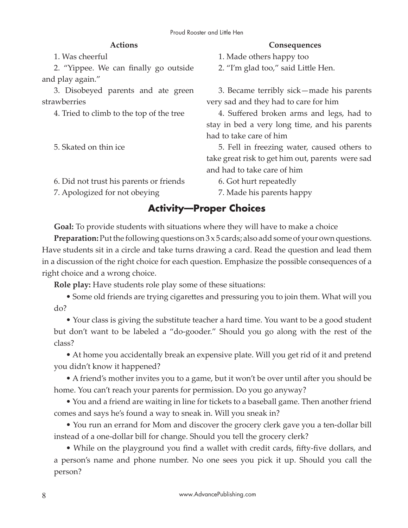#### **Actions**

1. Was cheerful

2. "Yippee. We can finally go outside and play again."

3. Disobeyed parents and ate green strawberries

4. Tried to climb to the top of the tree

5. Skated on thin ice

6. Did not trust his parents or friends

7. Apologized for not obeying

#### **Consequences**

1. Made others happy too

2. "I'm glad too," said Little Hen.

3. Became terribly sick—made his parents very sad and they had to care for him

4. Suffered broken arms and legs, had to stay in bed a very long time, and his parents had to take care of him

5. Fell in freezing water, caused others to take great risk to get him out, parents were sad and had to take care of him

6. Got hurt repeatedly

7. Made his parents happy

#### **Activity—Proper Choices**

**Goal:** To provide students with situations where they will have to make a choice

**Preparation:** Put the following questions on 3 x 5 cards; also add some of your own questions. Have students sit in a circle and take turns drawing a card. Read the question and lead them in a discussion of the right choice for each question. Emphasize the possible consequences of a right choice and a wrong choice.

**Role play:** Have students role play some of these situations:

• Some old friends are trying cigarettes and pressuring you to join them. What will you do?

• Your class is giving the substitute teacher a hard time. You want to be a good student but don't want to be labeled a "do-gooder." Should you go along with the rest of the class?

• At home you accidentally break an expensive plate. Will you get rid of it and pretend you didn't know it happened?

• A friend's mother invites you to a game, but it won't be over until after you should be home. You can't reach your parents for permission. Do you go anyway?

• You and a friend are waiting in line for tickets to a baseball game. Then another friend comes and says he's found a way to sneak in. Will you sneak in?

• You run an errand for Mom and discover the grocery clerk gave you a ten-dollar bill instead of a one-dollar bill for change. Should you tell the grocery clerk?

• While on the playground you find a wallet with credit cards, fifty-five dollars, and a person's name and phone number. No one sees you pick it up. Should you call the person?